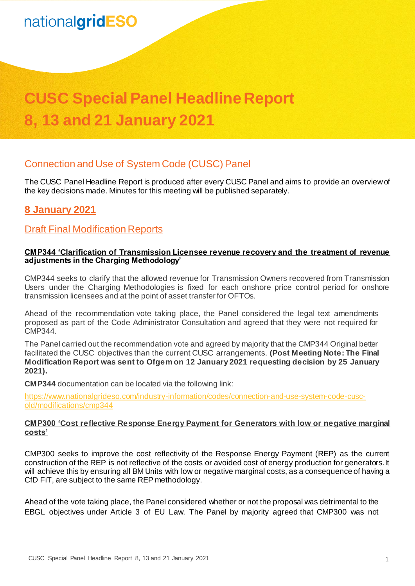# **CUSC Special Panel Headline Report 8, 13 and 21 January 2021**

## Connection and Use of System Code (CUSC) Panel

The CUSC Panel Headline Report is produced after every CUSC Panel and aims to provide an overview of the key decisions made. Minutes for this meeting will be published separately.

## **8 January 2021**

### Draft Final Modification Reports

#### **CMP344 'Clarification of Transmission Licensee revenue recovery and the treatment of revenue adjustments in the Charging Methodology'**

CMP344 seeks to clarify that the allowed revenue for Transmission Owners recovered from Transmission Users under the Charging Methodologies is fixed for each onshore price control period for onshore transmission licensees and at the point of asset transfer for OFTOs.

Ahead of the recommendation vote taking place, the Panel considered the legal text amendments proposed as part of the Code Administrator Consultation and agreed that they were not required for CMP344.

The Panel carried out the recommendation vote and agreed by majority that the CMP344 Original better facilitated the CUSC objectives than the current CUSC arrangements. **(Post Meeting Note: The Final Modification Report was sent to Ofgem on 12 January 2021 requesting decision by 25 January 2021).**

**CMP344** documentation can be located via the following link:

[https://www.nationalgrideso.com/industry-information/codes/connection-and-use-system-code-cusc](https://www.nationalgrideso.com/industry-information/codes/connection-and-use-system-code-cusc-old/modifications/cmp344)[old/modifications/cmp344](https://www.nationalgrideso.com/industry-information/codes/connection-and-use-system-code-cusc-old/modifications/cmp344)

#### **CMP300 'Cost reflective Response Energy Payment for Generators with low or negative marginal costs'**

CMP300 seeks to improve the cost reflectivity of the Response Energy Payment (REP) as the current construction of the REP is not reflective of the costs or avoided cost of energy production for generators. It will achieve this by ensuring all BM Units with low or negative marginal costs, as a consequence of having a CfD FiT, are subject to the same REP methodology.

Ahead of the vote taking place, the Panel considered whether or not the proposal was detrimental to the EBGL objectives under Article 3 of EU Law. The Panel by majority agreed that CMP300 was not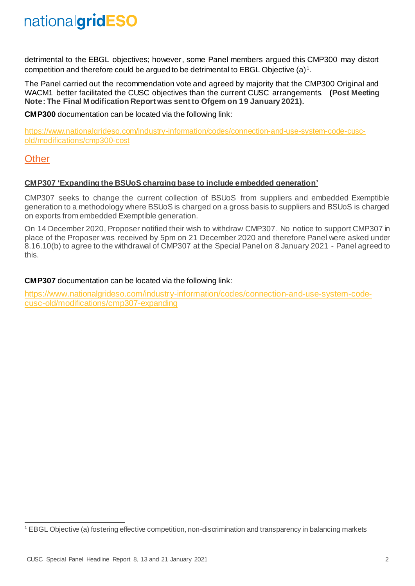detrimental to the EBGL objectives; however, some Panel members argued this CMP300 may distort competition and therefore could be argued to be detrimental to EBGL Objective  $(a)^1$ .

The Panel carried out the recommendation vote and agreed by majority that the CMP300 Original and WACM1 better facilitated the CUSC objectives than the current CUSC arrangements. **(Post Meeting Note: The Final Modification Report was sent to Ofgem on 19 January 2021).**

**CMP300** documentation can be located via the following link:

[https://www.nationalgrideso.com/industry-information/codes/connection-and-use-system-code-cusc](https://www.nationalgrideso.com/industry-information/codes/connection-and-use-system-code-cusc-old/modifications/cmp300-cost)[old/modifications/cmp300-cost](https://www.nationalgrideso.com/industry-information/codes/connection-and-use-system-code-cusc-old/modifications/cmp300-cost)

### **Other**

#### **CMP307 'Expanding the BSUoS charging base to include embedded generation'**

CMP307 seeks to change the current collection of BSUoS from suppliers and embedded Exemptible generation to a methodology where BSUoS is charged on a gross basis to suppliers and BSUoS is charged on exports from embedded Exemptible generation.

On 14 December 2020, Proposer notified their wish to withdraw CMP307. No notice to support CMP307 in place of the Proposer was received by 5pm on 21 December 2020 and therefore Panel were asked under 8.16.10(b) to agree to the withdrawal of CMP307 at the Special Panel on 8 January 2021 - Panel agreed to this.

#### **CMP307** documentation can be located via the following link:

[https://www.nationalgrideso.com/industry-information/codes/connection-and-use-system-code](https://www.nationalgrideso.com/industry-information/codes/connection-and-use-system-code-cusc-old/modifications/cmp307-expanding)[cusc-old/modifications/cmp307-expanding](https://www.nationalgrideso.com/industry-information/codes/connection-and-use-system-code-cusc-old/modifications/cmp307-expanding)

<sup>-</sup><sup>1</sup> EBGL Objective (a) fostering effective competition, non-discrimination and transparency in balancing markets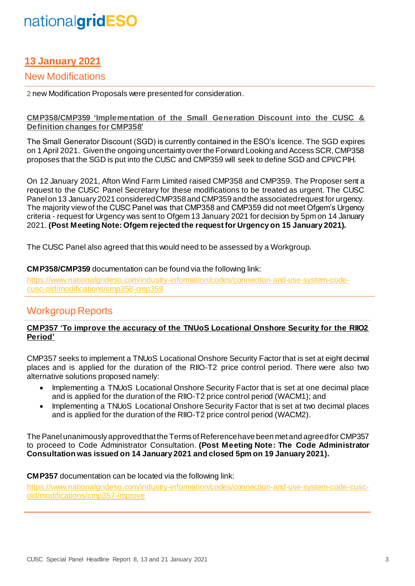## **13 January 2021**

### New Modifications

2 new Modification Proposals were presented for consideration.

#### **[CMP358/CMP359](https://www.nationalgrideso.com/industry-information/codes/connection-and-use-system-code-cusc-old/modifications/cmp353-stabilising) 'Implementation of the Small Generation Discount into the CUSC & Definition changes for CMP358'**

The Small Generator Discount (SGD) is currently contained in the ESO's licence. The SGD expires on 1 April 2021. Given the ongoing uncertainty over the Forward Looking and Access SCR, CMP358 proposes that the SGD is put into the CUSC and CMP359 will seek to define SGD and CPI/CPIH.

On 12 January 2021, Afton Wind Farm Limited raised CMP358 and CMP359. The Proposer sent a request to the CUSC Panel Secretary for these modifications to be treated as urgent. The CUSC Panel on 13 January 2021 considered CMP358 and CMP359 and the associated request for urgency. The majority view of the CUSC Panel was that CMP358 and CMP359 did not meet Ofgem's Urgency criteria - request for Urgency was sent to Ofgem 13 January 2021 for decision by 5pm on 14 January 2021. **(Post Meeting Note: Ofgem rejected the request for Urgency on 15 January 2021).**

The CUSC Panel also agreed that this would need to be assessed by a Workgroup.

#### **CMP358/CMP359** documentation can be found via the following link:

[https://www.nationalgrideso.com/industry-information/codes/connection-and-use-system-code](https://www.nationalgrideso.com/industry-information/codes/connection-and-use-system-code-cusc-old/modifications/cmp358-cmp359)[cusc-old/modifications/cmp358-cmp359](https://www.nationalgrideso.com/industry-information/codes/connection-and-use-system-code-cusc-old/modifications/cmp358-cmp359)

## Workgroup Reports

#### **CMP357 'To improve the accuracy of the TNUoS Locational Onshore Security for the RIIO2 Period'**

CMP357 seeks to implement a TNUoS Locational Onshore Security Factor that is set at eight decimal places and is applied for the duration of the RIIO-T2 price control period. There were also two alternative solutions proposed namely:

- Implementing a TNUoS Locational Onshore Security Factor that is set at one decimal place and is applied for the duration of the RIIO-T2 price control period (WACM1); and
- Implementing a TNUoS Locational Onshore Security Factor that is set at two decimal places and is applied for the duration of the RIIO-T2 price control period (WACM2).

The Panel unanimously approved that the Terms of Reference have been met and agreedfor CMP357 to proceed to Code Administrator Consultation. **(Post Meeting Note: The Code Administrator Consultation was issued on 14 January 2021 and closed 5pm on 19 January 2021).**

#### **CMP357** documentation can be located via the following link:

[https://www.nationalgrideso.com/industry-information/codes/connection-and-use-system-code-cusc](https://www.nationalgrideso.com/industry-information/codes/connection-and-use-system-code-cusc-old/modifications/cmp357-improve)[old/modifications/cmp357-improve](https://www.nationalgrideso.com/industry-information/codes/connection-and-use-system-code-cusc-old/modifications/cmp357-improve)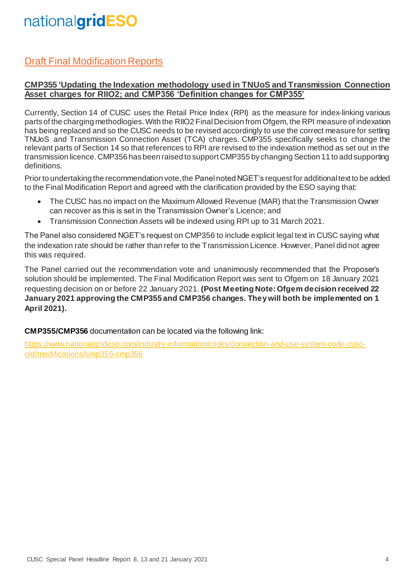## Draft Final Modification Reports

#### **CMP355 'Updating the Indexation methodology used in TNUoS and Transmission Connection Asset charges for RIIO2; and CMP356 'Definition changes for CMP355'**

Currently, Section 14 of CUSC uses the Retail Price Index (RPI) as the measure for index-linking various parts of the charging methodlogies. With the RIIO2 Final Decision from Ofgem, the RPI measure of indexation has being replaced and so the CUSC needs to be revised accordingly to use the correct measure for setting TNUoS and Transmission Connection Asset (TCA) charges. CMP355 specifically seeks to change the relevant parts of Section 14 so that references to RPI are revised to the indexation method as set out in the transmission licence. CMP356 has been raised to support CMP355 by changing Section 11 to add supporting definitions.

Prior to undertaking the recommendation vote, the Panel noted NGET's request for additional text to be added to the Final Modification Report and agreed with the clarification provided by the ESO saying that:

- The CUSC has no impact on the Maximum Allowed Revenue (MAR) that the Transmission Owner can recover as this is set in the Transmission Owner's Licence; and
- Transmission Connection Assets will be indexed using RPI up to 31 March 2021.

The Panel also considered NGET's request on CMP356 to include explicit legal text in CUSC saying what the indexation rate should be rather than refer to the Transmission Licence. However, Panel did not agree this was required.

The Panel carried out the recommendation vote and unanimously recommended that the Proposer's solution should be implemented. The Final Modification Report was sent to Ofgem on 18 January 2021 requesting decision on or before 22 January 2021. **(Post Meeting Note: Ofgem decision received 22 January 2021 approving the CMP355 and CMP356 changes. They will both be implemented on 1 April 2021).**

**CMP355/CMP356** documentation can be located via the following link:

[https://www.nationalgrideso.com/industry-information/codes/connection-and-use-system-code-cusc](https://www.nationalgrideso.com/industry-information/codes/connection-and-use-system-code-cusc-old/modifications/cmp355-cmp356)[old/modifications/cmp355-cmp356](https://www.nationalgrideso.com/industry-information/codes/connection-and-use-system-code-cusc-old/modifications/cmp355-cmp356)